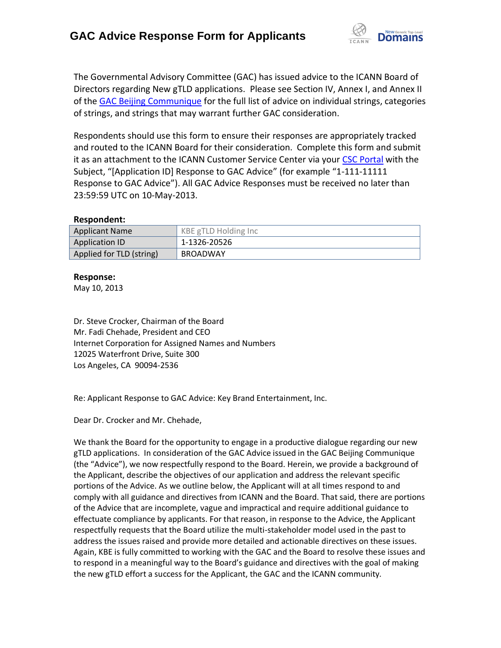

The Governmental Advisory Committee (GAC) has issued advice to the ICANN Board of Directors regarding New gTLD applications. Please see Section IV, Annex I, and Annex II of the [GAC Beijing Communique](http://www.icann.org/en/news/correspondence/gac-to-board-18apr13-en.pdf) for the full list of advice on individual strings, categories of strings, and strings that may warrant further GAC consideration.

Respondents should use this form to ensure their responses are appropriately tracked and routed to the ICANN Board for their consideration. Complete this form and submit it as an attachment to the ICANN Customer Service Center via your CSC [Portal](https://myicann.secure.force.com/) with the Subject, "[Application ID] Response to GAC Advice" (for example "1-111-11111 Response to GAC Advice"). All GAC Advice Responses must be received no later than 23:59:59 UTC on 10-May-2013.

#### **Respondent:**

| <b>Applicant Name</b>    | KBE gTLD Holding Inc |
|--------------------------|----------------------|
| <b>Application ID</b>    | 1-1326-20526         |
| Applied for TLD (string) | BROADWAY             |

### **Response:**

May 10, 2013

Dr. Steve Crocker, Chairman of the Board Mr. Fadi Chehade, President and CEO Internet Corporation for Assigned Names and Numbers 12025 Waterfront Drive, Suite 300 Los Angeles, CA 90094-2536

Re: Applicant Response to GAC Advice: Key Brand Entertainment, Inc.

Dear Dr. Crocker and Mr. Chehade,

We thank the Board for the opportunity to engage in a productive dialogue regarding our new gTLD applications. In consideration of the GAC Advice issued in the GAC Beijing Communique (the "Advice"), we now respectfully respond to the Board. Herein, we provide a background of the Applicant, describe the objectives of our application and address the relevant specific portions of the Advice. As we outline below, the Applicant will at all times respond to and comply with all guidance and directives from ICANN and the Board. That said, there are portions of the Advice that are incomplete, vague and impractical and require additional guidance to effectuate compliance by applicants. For that reason, in response to the Advice, the Applicant respectfully requests that the Board utilize the multi-stakeholder model used in the past to address the issues raised and provide more detailed and actionable directives on these issues. Again, KBE is fully committed to working with the GAC and the Board to resolve these issues and to respond in a meaningful way to the Board's guidance and directives with the goal of making the new gTLD effort a success for the Applicant, the GAC and the ICANN community.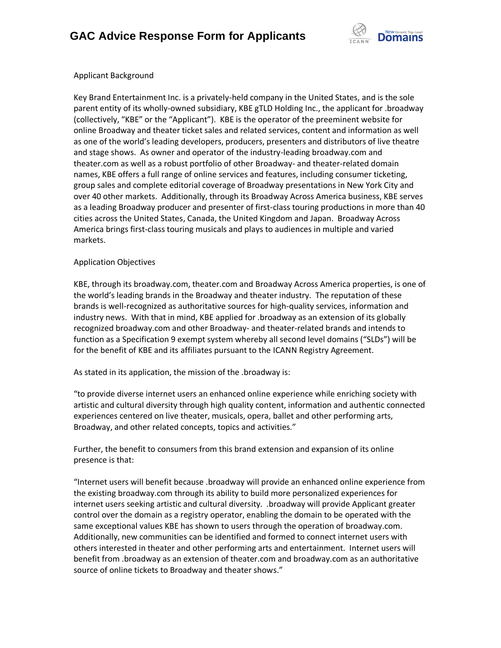

### Applicant Background

Key Brand Entertainment Inc. is a privately-held company in the United States, and is the sole parent entity of its wholly-owned subsidiary, KBE gTLD Holding Inc., the applicant for .broadway (collectively, "KBE" or the "Applicant"). KBE is the operator of the preeminent website for online Broadway and theater ticket sales and related services, content and information as well as one of the world's leading developers, producers, presenters and distributors of live theatre and stage shows. As owner and operator of the industry-leading broadway.com and theater.com as well as a robust portfolio of other Broadway- and theater-related domain names, KBE offers a full range of online services and features, including consumer ticketing, group sales and complete editorial coverage of Broadway presentations in New York City and over 40 other markets. Additionally, through its Broadway Across America business, KBE serves as a leading Broadway producer and presenter of first-class touring productions in more than 40 cities across the United States, Canada, the United Kingdom and Japan. Broadway Across America brings first-class touring musicals and plays to audiences in multiple and varied markets.

# Application Objectives

KBE, through its broadway.com, theater.com and Broadway Across America properties, is one of the world's leading brands in the Broadway and theater industry. The reputation of these brands is well-recognized as authoritative sources for high-quality services, information and industry news. With that in mind, KBE applied for .broadway as an extension of its globally recognized broadway.com and other Broadway- and theater-related brands and intends to function as a Specification 9 exempt system whereby all second level domains ("SLDs") will be for the benefit of KBE and its affiliates pursuant to the ICANN Registry Agreement.

As stated in its application, the mission of the .broadway is:

"to provide diverse internet users an enhanced online experience while enriching society with artistic and cultural diversity through high quality content, information and authentic connected experiences centered on live theater, musicals, opera, ballet and other performing arts, Broadway, and other related concepts, topics and activities."

Further, the benefit to consumers from this brand extension and expansion of its online presence is that:

"Internet users will benefit because .broadway will provide an enhanced online experience from the existing broadway.com through its ability to build more personalized experiences for internet users seeking artistic and cultural diversity. .broadway will provide Applicant greater control over the domain as a registry operator, enabling the domain to be operated with the same exceptional values KBE has shown to users through the operation of broadway.com. Additionally, new communities can be identified and formed to connect internet users with others interested in theater and other performing arts and entertainment. Internet users will benefit from .broadway as an extension of theater.com and broadway.com as an authoritative source of online tickets to Broadway and theater shows."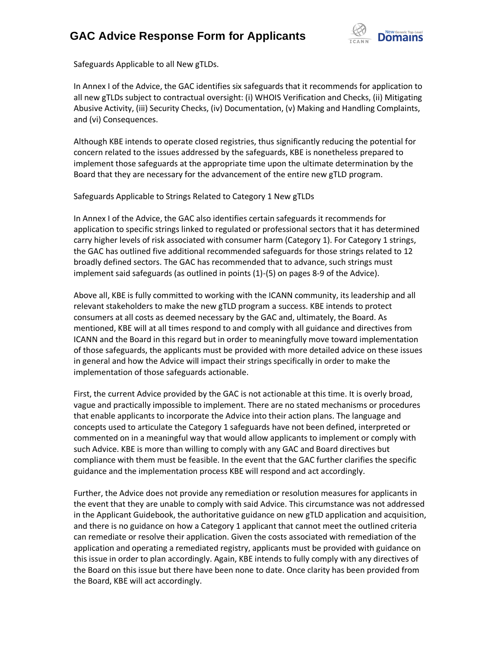# **GAC Advice Response Form for Applicants**



Safeguards Applicable to all New gTLDs.

In Annex I of the Advice, the GAC identifies six safeguards that it recommends for application to all new gTLDs subject to contractual oversight: (i) WHOIS Verification and Checks, (ii) Mitigating Abusive Activity, (iii) Security Checks, (iv) Documentation, (v) Making and Handling Complaints, and (vi) Consequences.

Although KBE intends to operate closed registries, thus significantly reducing the potential for concern related to the issues addressed by the safeguards, KBE is nonetheless prepared to implement those safeguards at the appropriate time upon the ultimate determination by the Board that they are necessary for the advancement of the entire new gTLD program.

Safeguards Applicable to Strings Related to Category 1 New gTLDs

In Annex I of the Advice, the GAC also identifies certain safeguards it recommends for application to specific strings linked to regulated or professional sectors that it has determined carry higher levels of risk associated with consumer harm (Category 1). For Category 1 strings, the GAC has outlined five additional recommended safeguards for those strings related to 12 broadly defined sectors. The GAC has recommended that to advance, such strings must implement said safeguards (as outlined in points (1)-(5) on pages 8-9 of the Advice).

Above all, KBE is fully committed to working with the ICANN community, its leadership and all relevant stakeholders to make the new gTLD program a success. KBE intends to protect consumers at all costs as deemed necessary by the GAC and, ultimately, the Board. As mentioned, KBE will at all times respond to and comply with all guidance and directives from ICANN and the Board in this regard but in order to meaningfully move toward implementation of those safeguards, the applicants must be provided with more detailed advice on these issues in general and how the Advice will impact their strings specifically in order to make the implementation of those safeguards actionable.

First, the current Advice provided by the GAC is not actionable at this time. It is overly broad, vague and practically impossible to implement. There are no stated mechanisms or procedures that enable applicants to incorporate the Advice into their action plans. The language and concepts used to articulate the Category 1 safeguards have not been defined, interpreted or commented on in a meaningful way that would allow applicants to implement or comply with such Advice. KBE is more than willing to comply with any GAC and Board directives but compliance with them must be feasible. In the event that the GAC further clarifies the specific guidance and the implementation process KBE will respond and act accordingly.

Further, the Advice does not provide any remediation or resolution measures for applicants in the event that they are unable to comply with said Advice. This circumstance was not addressed in the Applicant Guidebook, the authoritative guidance on new gTLD application and acquisition, and there is no guidance on how a Category 1 applicant that cannot meet the outlined criteria can remediate or resolve their application. Given the costs associated with remediation of the application and operating a remediated registry, applicants must be provided with guidance on this issue in order to plan accordingly. Again, KBE intends to fully comply with any directives of the Board on this issue but there have been none to date. Once clarity has been provided from the Board, KBE will act accordingly.